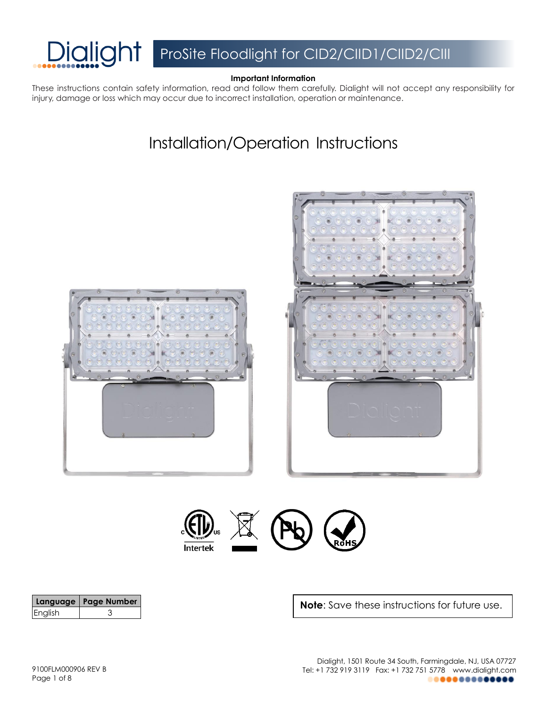

### **Important Information**

These instructions contain safety information, read and follow them carefully. Dialight will not accept any responsibility for injury, damage or loss which may occur due to incorrect installation, operation or maintenance.

# Installation/Operation Instructions







|         | Language   Page Number |
|---------|------------------------|
| English |                        |

**Note**: Save these instructions for future use.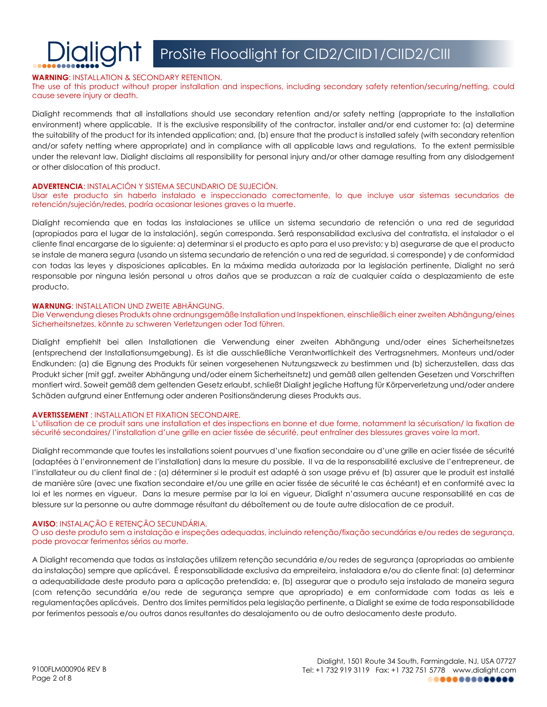#### **WARNING**: INSTALLATION & SECONDARY RETENTION.

#### The use of this product without proper installation and inspections, including secondary safety retention/securing/netting, could cause severe injury or death.

Dialight recommends that all installations should use secondary retention and/or safety netting (appropriate to the installation environment) where applicable. It is the exclusive responsibility of the contractor, installer and/or end customer to: (a) determine the suitability of the product for its intended application; and, (b) ensure that the product is installed safely (with secondary retention and/or safety netting where appropriate) and in compliance with all applicable laws and regulations. To the extent permissible under the relevant law, Dialight disclaims all responsibility for personal injury and/or other damage resulting from any dislodgement or other dislocation of this product.

#### **ADVERTENCIA**: INSTALACIÓN Y SISTEMA SECUNDARIO DE SUJECIÓN.

#### Usar este producto sin haberlo instalado e inspeccionado correctamente, lo que incluye usar sistemas secundarios de retención/sujeción/redes, podría ocasionar lesiones graves o la muerte.

Dialight recomienda que en todas las instalaciones se utilice un sistema secundario de retención o una red de seguridad (apropiados para el lugar de la instalación), según corresponda. Será responsabilidad exclusiva del contratista, el instalador o el cliente final encargarse de lo siguiente: a) determinar si el producto es apto para el uso previsto; y b) asegurarse de que el producto se instale de manera segura (usando un sistema secundario de retención o una red de seguridad, si corresponde) y de conformidad con todas las leyes y disposiciones aplicables. En la máxima medida autorizada por la legislación pertinente, Dialight no será responsable por ninguna lesión personal u otros daños que se produzcan a raíz de cualquier caída o desplazamiento de este producto.

#### **WARNUNG**: INSTALLATION UND ZWEITE ABHÄNGUNG.

#### Die Verwendung dieses Produkts ohne ordnungsgemäße Installation und Inspektionen, einschließlich einer zweiten Abhängung/eines Sicherheitsnetzes, könnte zu schweren Verletzungen oder Tod führen.

Dialight empfiehlt bei allen Installationen die Verwendung einer zweiten Abhängung und/oder eines Sicherheitsnetzes (entsprechend der Installationsumgebung). Es ist die ausschließliche Verantwortlichkeit des Vertragsnehmers, Monteurs und/oder Endkunden: (a) die Eignung des Produkts für seinen vorgesehenen Nutzungszweck zu bestimmen und (b) sicherzustellen, dass das Produkt sicher (mit ggf. zweiter Abhängung und/oder einem Sicherheitsnetz) und gemäß allen geltenden Gesetzen und Vorschriften montiert wird. Soweit gemäß dem geltenden Gesetz erlaubt, schließt Dialight jegliche Haftung für Körperverletzung und/oder andere Schäden aufgrund einer Entfernung oder anderen Positionsänderung dieses Produkts aus.

#### **AVERTISSEMENT** : INSTALLATION ET FIXATION SECONDAIRE.

L'utilisation de ce produit sans une installation et des inspections en bonne et due forme, notamment la sécurisation/ la fixation de sécurité secondaires/ l'installation d'une grille en acier tissée de sécurité, peut entraîner des blessures graves voire la mort.

Dialight recommande que toutes les installations soient pourvues d'une fixation secondaire ou d'une grille en acier tissée de sécurité (adaptées à l'environnement de l'installation) dans la mesure du possible. Il va de la responsabilité exclusive de l'entrepreneur, de l'installateur ou du client final de : (a) déterminer si le produit est adapté à son usage prévu et (b) assurer que le produit est installé de manière sûre (avec une fixation secondaire et/ou une grille en acier tissée de sécurité le cas échéant) et en conformité avec la loi et les normes en vigueur. Dans la mesure permise par la loi en vigueur, Dialight n'assumera aucune responsabilité en cas de blessure sur la personne ou autre dommage résultant du déboîtement ou de toute autre dislocation de ce produit.

#### **AVISO**: INSTALAÇÃO E RETENÇÃO SECUNDÁRIA.

#### O uso deste produto sem a instalação e inspeções adequadas, incluindo retenção/fixação secundárias e/ou redes de segurança, pode provocar ferimentos sérios ou morte.

A Dialight recomenda que todas as instalações utilizem retenção secundária e/ou redes de segurança (apropriadas ao ambiente da instalação) sempre que aplicável. É responsabilidade exclusiva da empreiteira, instaladora e/ou do cliente final: (a) determinar a adequabilidade deste produto para a aplicação pretendida; e, (b) assegurar que o produto seja instalado de maneira segura (com retenção secundária e/ou rede de segurança sempre que apropriado) e em conformidade com todas as leis e regulamentações aplicáveis. Dentro dos limites permitidos pela legislação pertinente, a Dialight se exime de toda responsabilidade por ferimentos pessoais e/ou outros danos resultantes do desalojamento ou de outro deslocamento deste produto.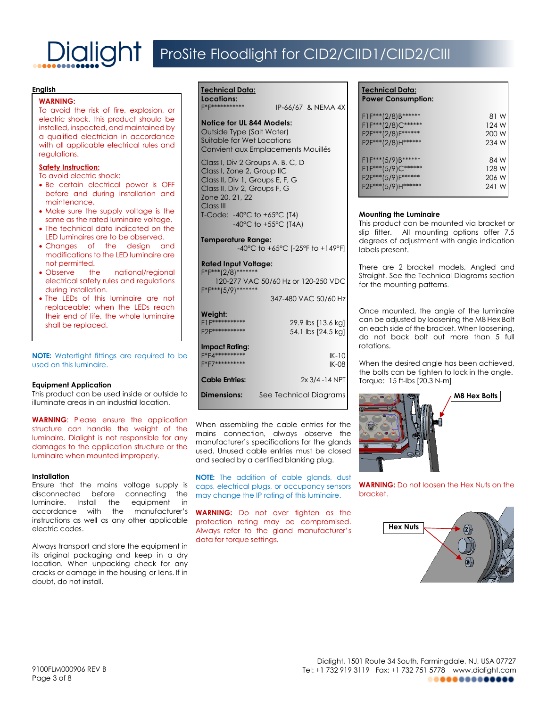#### **English**

#### **WARNING:**

To avoid the risk of fire, explosion, or electric shock, this product should be installed, inspected, and maintained by a qualified electrician in accordance with all applicable electrical rules and regulations.

#### **Safety Instruction:**

To avoid electric shock:

- Be certain electrical power is OFF before and during installation and maintenance.
- Make sure the supply voltage is the same as the rated luminaire voltage.
- The technical data indicated on the LED luminaires are to be observed.
- Changes of the design and modifications to the LED luminaire are not permitted.
- Observe the national/regional electrical safety rules and regulations during installation.
- The LEDs of this luminaire are not replaceable; when the LEDs reach their end of life, the whole luminaire shall be replaced.

**NOTE:** Watertight fittings are required to be used on this luminaire.

#### **Equipment Application**

This product can be used inside or outside to illuminate areas in an industrial location.

**WARNING:** Please ensure the application structure can handle the weight of the luminaire. Dialight is not responsible for any damages to the application structure or the luminaire when mounted improperly.

#### **Installation**

Ensure that the mains voltage supply is disconnected before connecting the luminaire. Install the equipment in accordance with the manufacturer's instructions as well as any other applicable electric codes.

Always transport and store the equipment in its original packaging and keep in a dry location. When unpacking check for any cracks or damage in the housing or lens. If in doubt, do not install.

#### F\*F\*\*\*\*\*\*\*\*\*\*\* IP-66/67 & NEMA 4X **Notice for UL 844 Models:** Outside Type (Salt Water) Suitable for Wet Locations Convient aux Emplacements Mouillés Class I, Div 2 Groups A, B, C, D Class I, Zone 2, Group IIC Class II, Div 1, Groups E, F, G Class II, Div 2, Groups F, G Zone 20, 21, 22 Class III T-Code: -40°C to +65°C (T4)

-40°C to +55°C (T4A) **Temperature Range:**

```
-40°C to +65°C [-25°F to +149°F]
```
#### **Rated Input Voltage:**

**Technical Data: Locations:**

 $F^*F^{***}(2/8)^{**}$ 120-277 VAC 50/60 Hz or 120-250 VDC F\*F\*\*\*(5/9)\*\*\*\*\*\*\* 347-480 VAC 50/60 Hz

#### **Weight:**

| 11.<br>*********      | 29.9 lbs [13.6 kg]      |
|-----------------------|-------------------------|
| <b>Impact Rating:</b> | 54.1 lbs [24.5 kg]      |
| F*F4***<br>*********  | $IK-10$<br><b>IK-08</b> |
| <b>Cable Entries:</b> | $2x 3/4 - 14 NPT$       |
| <b>Dimensions:</b>    | See Technical Diagrams  |

When assembling the cable entries for the mains connection, always observe the manufacturer's specifications for the glands used. Unused cable entries must be closed and sealed by a certified blanking plug.

**NOTE:** The addition of cable glands, dust caps, electrical plugs, or occupancy sensors may change the IP rating of this luminaire.

**WARNING:** Do not over tighten as the protection rating may be compromised. Always refer to the gland manufacturer's data for torque settings.

### **Technical Data: Power Consumption:** F1F\*\*\*(2/8)B\*\*\*\*\*\* 81 W F1F\*\*\*(2/8)C\*\*\*\*\*\* 124 W F2F\*\*\*(2/8)F\*\*\*\*\*\* 200 W F2F\*\*\*(2/8)H\*\*\*\*\*\* 234 W F1F\*\*\*(5/9)B\*\*\*\*\*\* 84 W  $F1F***(5/9)C******$ <br>F2F\*\*\*(5/9)F\*\*\*\*\*\* 128 W F2F\*\*\*(5/9)F\*\*\*\*\*\* 206 W<br>F2F\*\*\*(5/9)H\*\*\*\*\*\* 241 W F2F\*\*\*(5/9)H\*\*\*\*\*\*

#### **Mounting the Luminaire**

This product can be mounted via bracket or slip fitter. All mounting options offer 7.5 degrees of adjustment with angle indication labels present.

There are 2 bracket models, Angled and Straight. See the Technical Diagrams section for the mounting patterns.

Once mounted, the angle of the luminaire can be adjusted by loosening the M8 Hex Bolt on each side of the bracket. When loosening, do not back bolt out more than 5 full rotations.

When the desired angle has been achieved, the bolts can be tighten to lock in the angle. Torque: 15 ft-lbs [20.3 N-m]



**WARNING:** Do not loosen the Hex Nuts on the bracket.

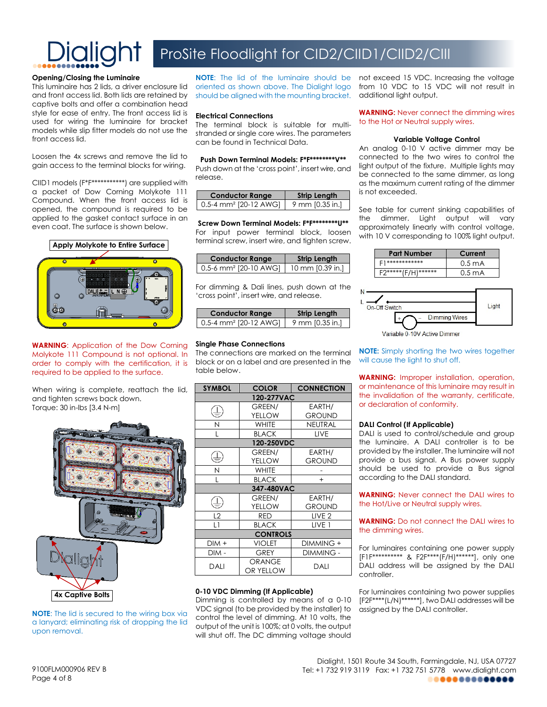

# ProSite Floodlight for CID2/CIID1/CIID2/CIII

#### **Opening/Closing the Luminaire**

This luminaire has 2 lids, a driver enclosure lid and front access lid. Both lids are retained by captive bolts and offer a combination head style for ease of entry. The front access lid is used for wiring the luminaire for bracket models while slip fitter models do not use the front access lid.

Loosen the 4x screws and remove the lid to gain access to the terminal blocks for wiring.

CIID1 models (F\*F\*\*\*\*\*\*\*\*\*\*\*) are supplied with a packet of Dow Corning Molykote 111 Compound. When the front access lid is opened, the compound is required to be applied to the gasket contact surface in an even coat. The surface is shown below.



**WARNING**: Application of the Dow Corning Molykote 111 Compound is not optional. In order to comply with the certification, it is required to be applied to the surface.

When wiring is complete, reattach the lid, and tighten screws back down. Torque: 30 in-lbs [3.4 N-m]



**NOTE**: The lid is secured to the wiring box via a lanyard; eliminating risk of dropping the lid upon removal.

oriented as shown above. The Dialight logo should be aligned with the mounting bracket.

#### **Electrical Connections**

The terminal block is suitable for multistranded or single core wires. The parameters can be found in Technical Data.

**Push Down Terminal Models: F\*F\*\*\*\*\*\*\*\*V\*\*** Push down at the 'cross point', insert wire, and release.

| <b>Conductor Range</b>                | <b>Strip Length</b> |
|---------------------------------------|---------------------|
| $0.5 - 4$ mm <sup>2</sup> [20-12 AWG] | 9 mm [0.35 in.]     |

**Screw Down Terminal Models: F\*F\*\*\*\*\*\*\*\*U\*\*** For input power terminal block, loosen terminal screw, insert wire, and tighten screw.

| <b>Conductor Range</b>              | <b>Strip Length</b> |
|-------------------------------------|---------------------|
| $0.5-6$ mm <sup>2</sup> [20-10 AWG] | 10 mm [0.39 in.]    |

For dimming & Dali lines, push down at the 'cross point', insert wire, and release.

| <b>Conductor Range</b>              | <b>Strip Length</b> |
|-------------------------------------|---------------------|
| $0.5-4$ mm <sup>2</sup> [20-12 AWG] | 9 mm [0.35 in.]     |

#### **Single Phase Connections**

The connections are marked on the terminal block or on a label and are presented in the table below.

| <b>SYMBOL</b>   | <b>COLOR</b>        | <b>CONNECTION</b> |
|-----------------|---------------------|-------------------|
| 120-277VAC      |                     |                   |
|                 | GREEN/              | EARTH/            |
|                 | YELLOW              | <b>GROUND</b>     |
| N               | <b>WHITE</b>        | NEUTRAL           |
|                 | <b>BLACK</b>        | LIVE              |
| 120-250VDC      |                     |                   |
|                 | GREEN/              | EARTH/            |
|                 | YELLOW              | <b>GROUND</b>     |
| Ν               | <b>WHITE</b>        |                   |
| L               | <b>BLACK</b>        | $+$               |
| 347-480VAC      |                     |                   |
|                 | GREEN/              | EARTH/            |
|                 | YELLOW              | <b>GROUND</b>     |
| L <sub>2</sub>  | <b>RED</b>          | LIVE <sub>2</sub> |
| L1              | <b>BLACK</b>        | LIVE 1            |
| <b>CONTROLS</b> |                     |                   |
| DIM +           | <b>VIOLET</b>       | DIMMING +         |
| DIM -           | GREY                | DIMMING -         |
| DALI            | ORANGE<br>OR YELLOW | DALI              |

#### **0-10 VDC Dimming (If Applicable)**

Dimming is controlled by means of a 0-10 VDC signal (to be provided by the installer) to control the level of dimming. At 10 volts, the output of the unit is 100%; at 0 volts, the output will shut off. The DC dimming voltage should

**NOTE**: The lid of the luminaire should be not exceed 15 VDC. Increasing the voltage from 10 VDC to 15 VDC will not result in additional light output.

> **WARNING:** Never connect the dimming wires to the Hot or Neutral supply wires.

#### **Variable Voltage Control**

An analog 0-10 V active dimmer may be connected to the two wires to control the light output of the fixture. Multiple lights may be connected to the same dimmer, as long as the maximum current rating of the dimmer is not exceeded.

See table for current sinking capabilities of the dimmer. Light output will vary approximately linearly with control voltage, with 10 V corresponding to 100% light output.





**NOTE:** Simply shorting the two wires together will cause the light to shut off.

**WARNING:** Improper installation, operation, or maintenance of this luminaire may result in the invalidation of the warranty, certificate, or declaration of conformity.

#### **DALI Control (If Applicable)**

DALI is used to control/schedule and group the luminaire. A DALI controller is to be provided by the installer. The luminaire will not provide a bus signal. A Bus power supply should be used to provide a Bus signal according to the DALI standard.

**WARNING:** Never connect the DALI wires to the Hot/Live or Neutral supply wires.

**WARNING:** Do not connect the DALI wires to the dimming wires.

For luminaires containing one power supply [F1F\*\*\*\*\*\*\*\*\*\* & F2F\*\*\*\*(F/H)\*\*\*\*\*\*], only one DALI address will be assigned by the DALI controller.

For luminaires containing two power supplies [F2F\*\*\*\*(L/N)\*\*\*\*\*\*], two DALI addresses will be assigned by the DALI controller.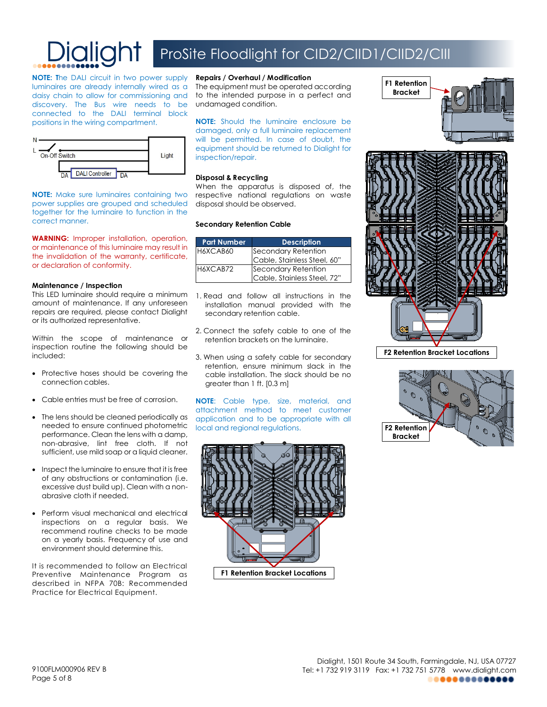

**NOTE: T**he DALI circuit in two power supply luminaires are already internally wired as a daisy chain to allow for commissioning and discovery. The Bus wire needs to be connected to the DALI terminal block positions in the wiring compartment.



**NOTE:** Make sure luminaires containing two power supplies are grouped and scheduled together for the luminaire to function in the correct manner.

**WARNING:** Improper installation, operation, or maintenance of this luminaire may result in the invalidation of the warranty, certificate, or declaration of conformity.

#### **Maintenance / Inspection**

This LED luminaire should require a minimum amount of maintenance. If any unforeseen repairs are required, please contact Dialight or its authorized representative.

Within the scope of maintenance or inspection routine the following should be included:

- Protective hoses should be covering the connection cables.
- Cable entries must be free of corrosion.
- The lens should be cleaned periodically as needed to ensure continued photometric performance. Clean the lens with a damp, non-abrasive, lint free cloth. If not sufficient, use mild soap or a liquid cleaner.
- Inspect the luminaire to ensure that it is free of any obstructions or contamination (i.e. excessive dust build up). Clean with a nonabrasive cloth if needed.
- Perform visual mechanical and electrical inspections on a regular basis. We recommend routine checks to be made on a yearly basis. Frequency of use and environment should determine this.

It is recommended to follow an Electrical Preventive Maintenance Program as described in NFPA 70B: Recommended Practice for Electrical Equipment.

#### **Repairs / Overhaul / Modification**

The equipment must be operated according to the intended purpose in a perfect and undamaged condition.

**NOTE:** Should the luminaire enclosure be damaged, only a full luminaire replacement will be permitted. In case of doubt, the equipment should be returned to Dialight for inspection/repair.

#### **Disposal & Recycling**

When the apparatus is disposed of, the respective national regulations on waste disposal should be observed.

#### **Secondary Retention Cable**

| <b>Part Number</b> | <b>Description</b>          |
|--------------------|-----------------------------|
| H6XCAB60           | Secondary Retention         |
|                    | Cable, Stainless Steel, 60" |
| H6XCAB72           | Secondary Retention         |
|                    | Cable, Stainless Steel, 72" |

- 1. Read and follow all instructions in the installation manual provided with the secondary retention cable.
- 2. Connect the safety cable to one of the retention brackets on the luminaire.
- 3. When using a safety cable for secondary retention, ensure minimum slack in the cable installation. The slack should be no greater than 1 ft. [0.3 m]

**NOTE**: Cable type, size, material, and attachment method to meet customer application and to be appropriate with all local and regional regulations.







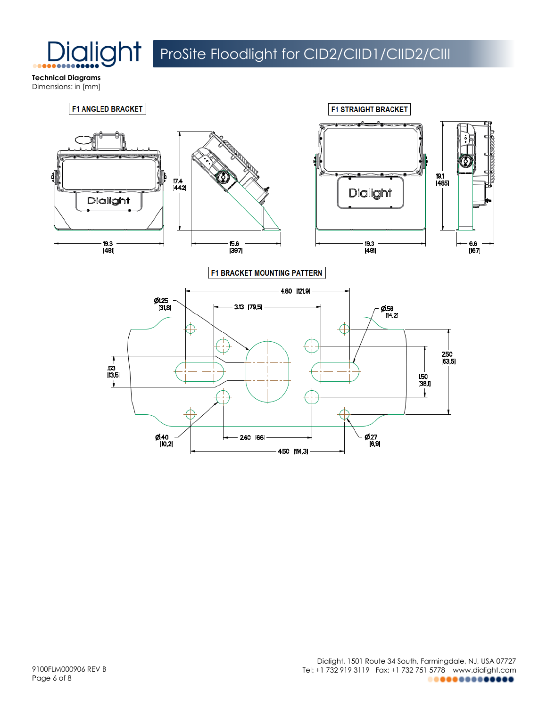

**Technical Diagrams** Dimensions: in [mm]

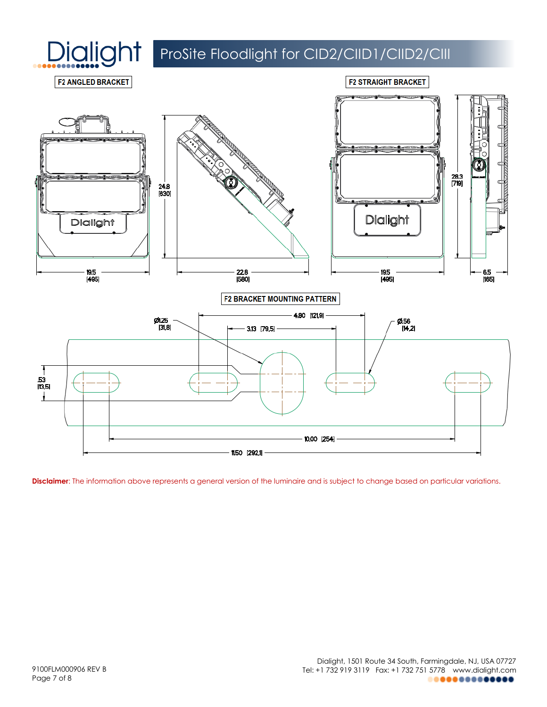



**Disclaimer**: The information above represents a general version of the luminaire and is subject to change based on particular variations.